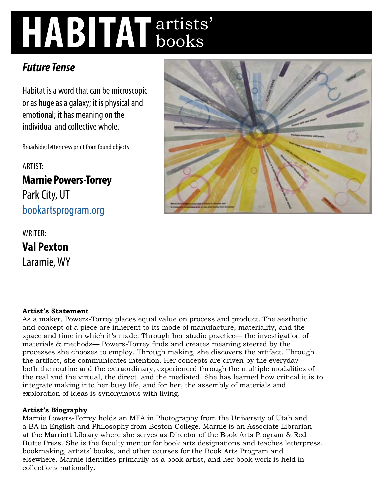# **HABITAT** artists' books

# *Future Tense*

Habitat is a word that can be microscopic or as huge as a galaxy; it is physical and emotional; it has meaning on the individual and collective whole.

Broadside; letterpress print from found objects

ARTIST:

**Marnie Powers-Torrey**  Park City, UT [bookartsprogram.org](http://bookartsprogram.org)

WRITER: **Val Pexton**  Laramie, WY



# **Artist's Statement**

As a maker, Powers-Torrey places equal value on process and product. The aesthetic and concept of a piece are inherent to its mode of manufacture, materiality, and the space and time in which it's made. Through her studio practice— the investigation of materials & methods— Powers-Torrey finds and creates meaning steered by the processes she chooses to employ. Through making, she discovers the artifact. Through the artifact, she communicates intention. Her concepts are driven by the everyday both the routine and the extraordinary, experienced through the multiple modalities of the real and the virtual, the direct, and the mediated. She has learned how critical it is to integrate making into her busy life, and for her, the assembly of materials and exploration of ideas is synonymous with living.

# **Artist's Biography**

Marnie Powers-Torrey holds an MFA in Photography from the University of Utah and a BA in English and Philosophy from Boston College. Marnie is an Associate Librarian at the Marriott Library where she serves as Director of the Book Arts Program & Red Butte Press. She is the faculty mentor for book arts designations and teaches letterpress, bookmaking, artists' books, and other courses for the Book Arts Program and elsewhere. Marnie identifies primarily as a book artist, and her book work is held in collections nationally.